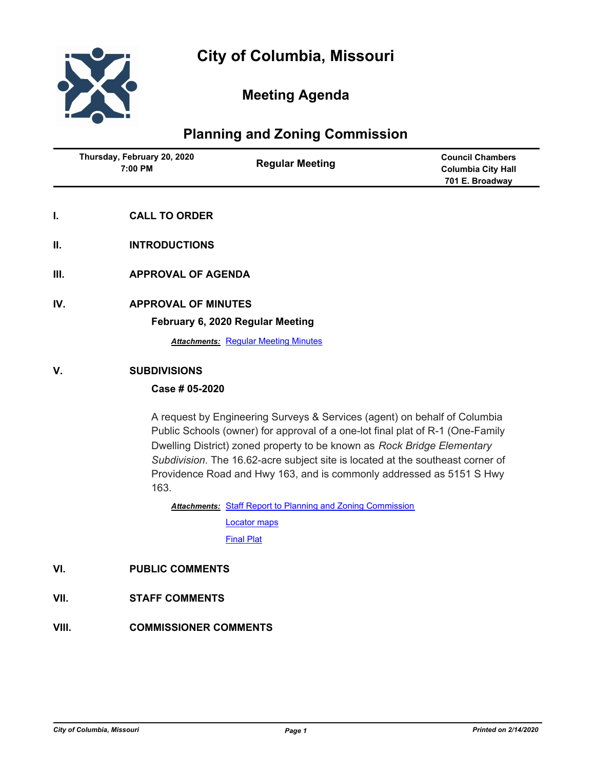

# **Meeting Agenda**

# **Planning and Zoning Commission**

| Thursday, February 20, 2020<br>7:00 PM | <b>Regular Meeting</b> | <b>Council Chambers</b><br><b>Columbia City Hall</b><br>701 E. Broadway |
|----------------------------------------|------------------------|-------------------------------------------------------------------------|
|                                        |                        |                                                                         |

- **I. CALL TO ORDER**
- **II. INTRODUCTIONS**
- **III. APPROVAL OF AGENDA**
- **IV. APPROVAL OF MINUTES**

#### **February 6, 2020 Regular Meeting**

**Attachments: [Regular Meeting Minutes](http://gocolumbiamo.legistar.com/gateway.aspx?M=F&ID=540d4908-5832-4183-9fe1-550e91d8c576.docx)** 

#### **V. SUBDIVISIONS**

### **Case # 05-2020**

A request by Engineering Surveys & Services (agent) on behalf of Columbia Public Schools (owner) for approval of a one-lot final plat of R-1 (One-Family Dwelling District) zoned property to be known as *Rock Bridge Elementary Subdivision*. The 16.62-acre subject site is located at the southeast corner of Providence Road and Hwy 163, and is commonly addressed as 5151 S Hwy 163.

Attachments: [Staff Report to Planning and Zoning Commission](http://gocolumbiamo.legistar.com/gateway.aspx?M=F&ID=aaa6a102-a56d-4906-9f30-02688597d491.docx)

[Locator maps](http://gocolumbiamo.legistar.com/gateway.aspx?M=F&ID=67ed0b8a-6133-4fca-bce2-0e3abf0509a8.pdf) [Final Plat](http://gocolumbiamo.legistar.com/gateway.aspx?M=F&ID=1b3b816e-a22b-4410-87d2-fafbc8c410b3.pdf)

### **VI. PUBLIC COMMENTS**

- **VII. STAFF COMMENTS**
- **VIII. COMMISSIONER COMMENTS**